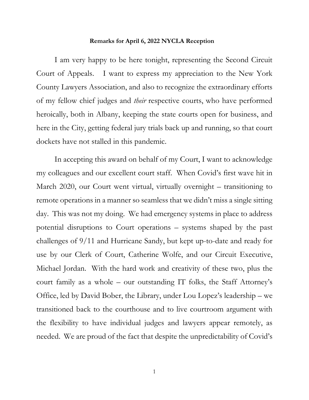## **Remarks for April 6, 2022 NYCLA Reception**

I am very happy to be here tonight, representing the Second Circuit Court of Appeals. I want to express my appreciation to the New York County Lawyers Association, and also to recognize the extraordinary efforts of my fellow chief judges and *their* respective courts, who have performed heroically, both in Albany, keeping the state courts open for business, and here in the City, getting federal jury trials back up and running, so that court dockets have not stalled in this pandemic.

In accepting this award on behalf of my Court, I want to acknowledge my colleagues and our excellent court staff. When Covid's first wave hit in March 2020, our Court went virtual, virtually overnight – transitioning to remote operations in a manner so seamless that we didn't miss a single sitting day. This was not my doing. We had emergency systems in place to address potential disruptions to Court operations – systems shaped by the past challenges of 9/11 and Hurricane Sandy, but kept up-to-date and ready for use by our Clerk of Court, Catherine Wolfe, and our Circuit Executive, Michael Jordan. With the hard work and creativity of these two, plus the court family as a whole – our outstanding IT folks, the Staff Attorney's Office, led by David Bober, the Library, under Lou Lopez's leadership – we transitioned back to the courthouse and to live courtroom argument with the flexibility to have individual judges and lawyers appear remotely, as needed. We are proud of the fact that despite the unpredictability of Covid's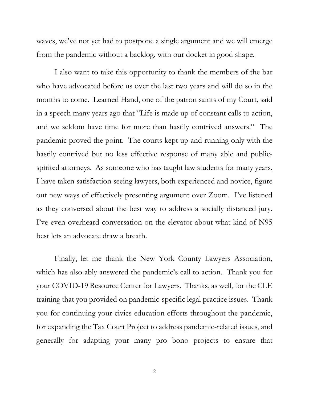waves, we've not yet had to postpone a single argument and we will emerge from the pandemic without a backlog, with our docket in good shape.

I also want to take this opportunity to thank the members of the bar who have advocated before us over the last two years and will do so in the months to come. Learned Hand, one of the patron saints of my Court, said in a speech many years ago that "Life is made up of constant calls to action, and we seldom have time for more than hastily contrived answers." The pandemic proved the point. The courts kept up and running only with the hastily contrived but no less effective response of many able and publicspirited attorneys. As someone who has taught law students for many years, I have taken satisfaction seeing lawyers, both experienced and novice, figure out new ways of effectively presenting argument over Zoom. I've listened as they conversed about the best way to address a socially distanced jury. I've even overheard conversation on the elevator about what kind of N95 best lets an advocate draw a breath.

Finally, let me thank the New York County Lawyers Association, which has also ably answered the pandemic's call to action. Thank you for your COVID-19 Resource Center for Lawyers. Thanks, as well, for the CLE training that you provided on pandemic-specific legal practice issues. Thank you for continuing your civics education efforts throughout the pandemic, for expanding the Tax Court Project to address pandemic-related issues, and generally for adapting your many pro bono projects to ensure that